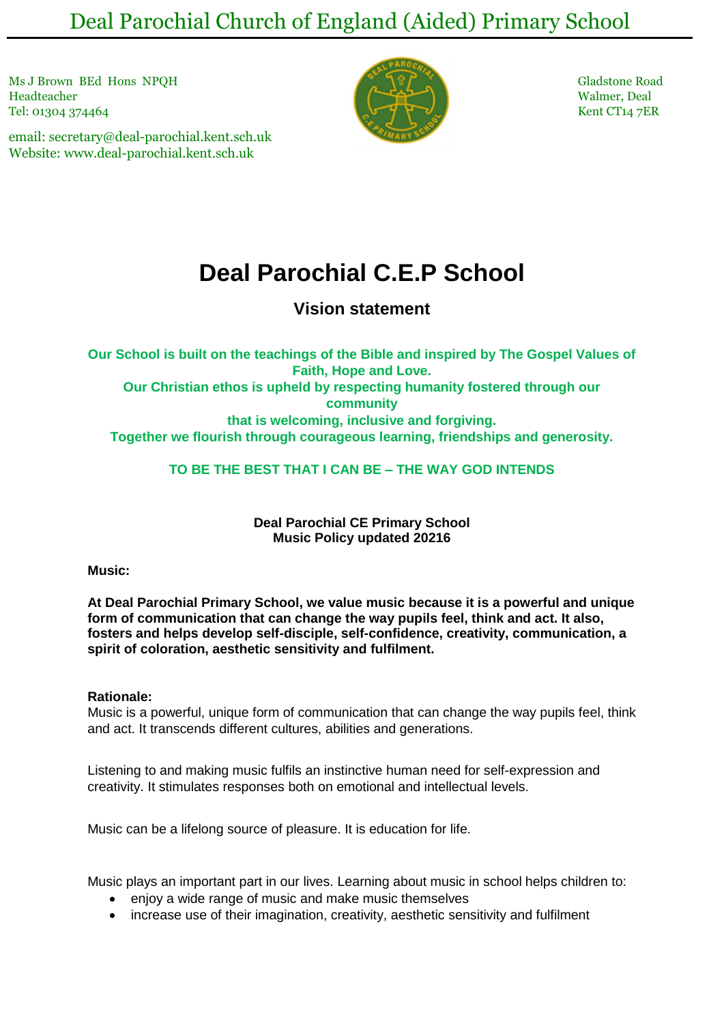Deal Parochial Church of England (Aided) Primary School

Ms J Brown BEd Hons NPOH Gladstone Road Headteacher Walmer, Deal Tel: 01304 374464 Kent CT14 7ER

email: secretary@deal-parochial.kent.sch.uk Website: www.deal-parochial.kent.sch.uk



# **Deal Parochial C.E.P School**

# **Vision statement**

**Our School is built on the teachings of the Bible and inspired by The Gospel Values of Faith, Hope and Love. Our Christian ethos is upheld by respecting humanity fostered through our community that is welcoming, inclusive and forgiving. Together we flourish through courageous learning, friendships and generosity.**

**TO BE THE BEST THAT I CAN BE – THE WAY GOD INTENDS**

**Deal Parochial CE Primary School Music Policy updated 20216**

# **Music:**

**At Deal Parochial Primary School, we value music because it is a powerful and unique form of communication that can change the way pupils feel, think and act. It also, fosters and helps develop self-disciple, self-confidence, creativity, communication, a spirit of coloration, aesthetic sensitivity and fulfilment.** 

# **Rationale:**

Music is a powerful, unique form of communication that can change the way pupils feel, think and act. It transcends different cultures, abilities and generations.

Listening to and making music fulfils an instinctive human need for self-expression and creativity. It stimulates responses both on emotional and intellectual levels.

Music can be a lifelong source of pleasure. It is education for life.

Music plays an important part in our lives. Learning about music in school helps children to:

- enjoy a wide range of music and make music themselves
- increase use of their imagination, creativity, aesthetic sensitivity and fulfilment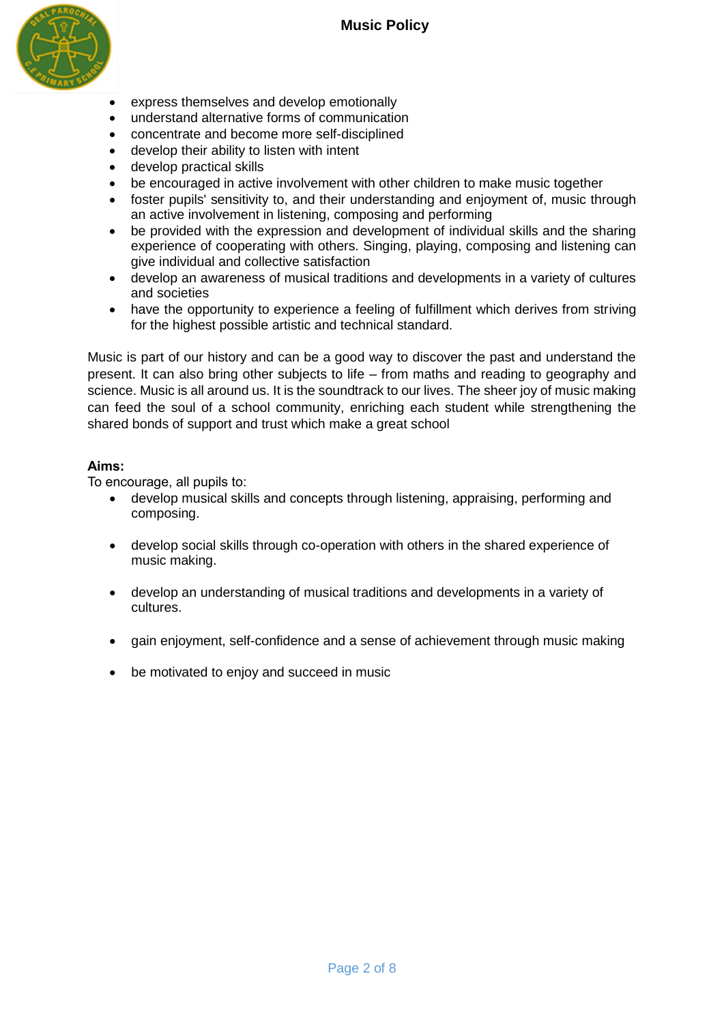

- express themselves and develop emotionally
- understand alternative forms of communication
- concentrate and become more self-disciplined
- develop their ability to listen with intent
- develop practical skills
- be encouraged in active involvement with other children to make music together
- foster pupils' sensitivity to, and their understanding and enjoyment of, music through an active involvement in listening, composing and performing
- be provided with the expression and development of individual skills and the sharing experience of cooperating with others. Singing, playing, composing and listening can give individual and collective satisfaction
- develop an awareness of musical traditions and developments in a variety of cultures and societies
- have the opportunity to experience a feeling of fulfillment which derives from striving for the highest possible artistic and technical standard.

Music is part of our history and can be a good way to discover the past and understand the present. It can also bring other subjects to life – from maths and reading to geography and science. Music is all around us. It is the soundtrack to our lives. The sheer joy of music making can feed the soul of a school community, enriching each student while strengthening the shared bonds of support and trust which make a great school

# **Aims:**

To encourage, all pupils to:

- develop musical skills and concepts through listening, appraising, performing and composing.
- develop social skills through co-operation with others in the shared experience of music making.
- develop an understanding of musical traditions and developments in a variety of cultures.
- gain enjoyment, self-confidence and a sense of achievement through music making
- be motivated to enjoy and succeed in music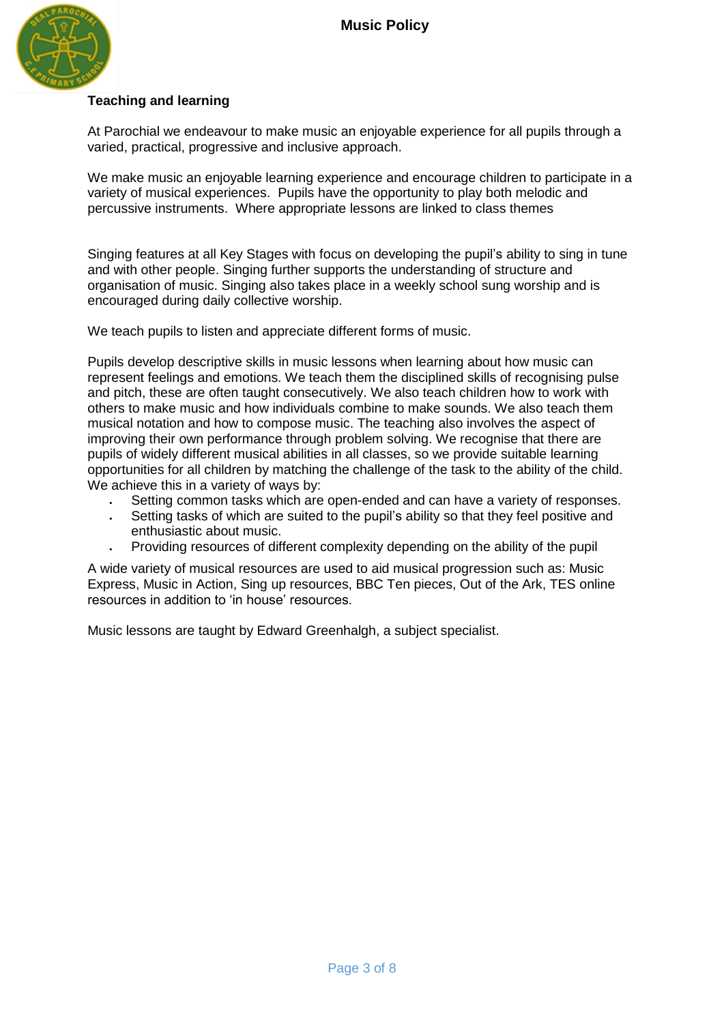

# **Teaching and learning**

At Parochial we endeavour to make music an enjoyable experience for all pupils through a varied, practical, progressive and inclusive approach.

We make music an enjoyable learning experience and encourage children to participate in a variety of musical experiences. Pupils have the opportunity to play both melodic and percussive instruments. Where appropriate lessons are linked to class themes

Singing features at all Key Stages with focus on developing the pupil's ability to sing in tune and with other people. Singing further supports the understanding of structure and organisation of music. Singing also takes place in a weekly school sung worship and is encouraged during daily collective worship.

We teach pupils to listen and appreciate different forms of music.

Pupils develop descriptive skills in music lessons when learning about how music can represent feelings and emotions. We teach them the disciplined skills of recognising pulse and pitch, these are often taught consecutively. We also teach children how to work with others to make music and how individuals combine to make sounds. We also teach them musical notation and how to compose music. The teaching also involves the aspect of improving their own performance through problem solving. We recognise that there are pupils of widely different musical abilities in all classes, so we provide suitable learning opportunities for all children by matching the challenge of the task to the ability of the child. We achieve this in a variety of ways by:

- Setting common tasks which are open-ended and can have a variety of responses.
- Setting tasks of which are suited to the pupil's ability so that they feel positive and enthusiastic about music.
- Providing resources of different complexity depending on the ability of the pupil

A wide variety of musical resources are used to aid musical progression such as: Music Express, Music in Action, Sing up resources, BBC Ten pieces, Out of the Ark, TES online resources in addition to 'in house' resources.

Music lessons are taught by Edward Greenhalgh, a subject specialist.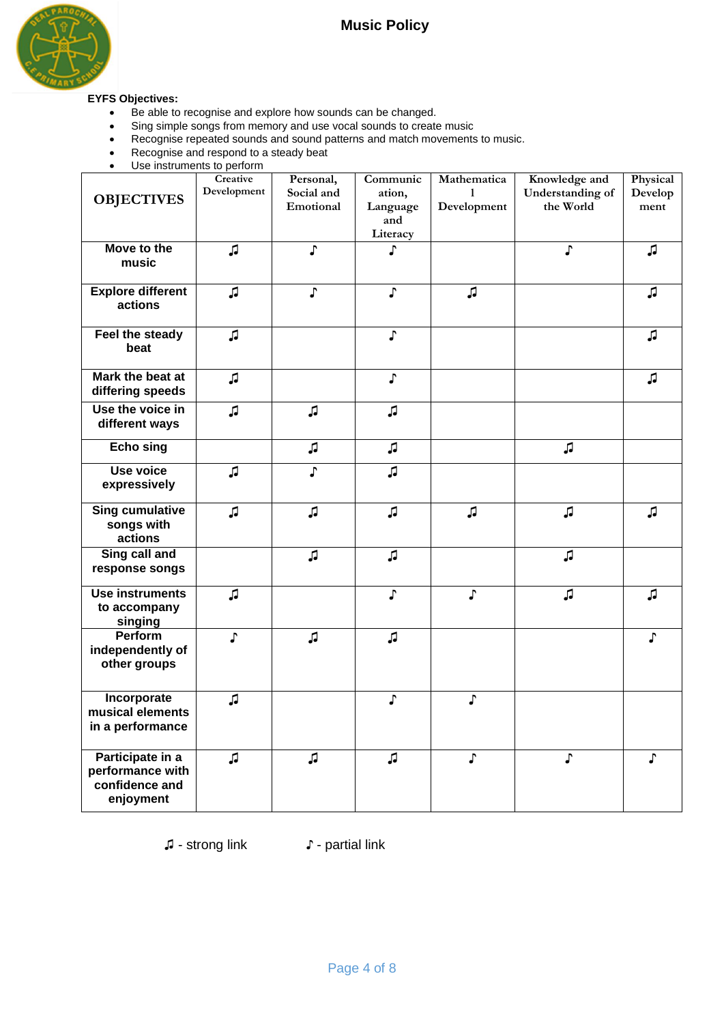

# **EYFS Objectives:**

- Be able to recognise and explore how sounds can be changed.
- Sing simple songs from memory and use vocal sounds to create music
- Recognise repeated sounds and sound patterns and match movements to music.
- Recognise and respond to a steady beat
- Use instruments to perform

| <b>OBJECTIVES</b><br>Move to the<br>music                           | Creative<br>Development<br>JJ | Personal,<br>Social and<br>Emotional<br>J. | Communic<br>ation,<br>Language<br>and<br>Literacy<br>♪ | Mathematica<br>1<br>Development | Knowledge and<br>Understanding of<br>the World<br>♪ | Physical<br>Develop<br>ment<br>口 |
|---------------------------------------------------------------------|-------------------------------|--------------------------------------------|--------------------------------------------------------|---------------------------------|-----------------------------------------------------|----------------------------------|
| <b>Explore different</b><br>actions                                 | JJ                            | J                                          | $\mathbf{J}$                                           | JJ                              |                                                     | JJ                               |
| Feel the steady<br>beat                                             | JJ                            |                                            | ♪                                                      |                                 |                                                     | JJ                               |
| Mark the beat at<br>differing speeds                                | JJ                            |                                            | $\pmb{\mathsf{J}}$                                     |                                 |                                                     | JJ                               |
| Use the voice in<br>different ways                                  | JJ                            | JJ                                         | JJ                                                     |                                 |                                                     |                                  |
| <b>Echo sing</b>                                                    |                               | JJ                                         | Л                                                      |                                 | JJ                                                  |                                  |
| Use voice<br>expressively                                           | JJ                            | J                                          | JJ                                                     |                                 |                                                     |                                  |
| <b>Sing cumulative</b><br>songs with<br>actions                     | JJ                            | JJ                                         | JJ                                                     | JJ                              | JJ                                                  | 口                                |
| Sing call and<br>response songs                                     |                               | JJ                                         | JJ                                                     |                                 | JJ                                                  |                                  |
| <b>Use instruments</b><br>to accompany<br>singing                   | JJ                            |                                            | ♪                                                      | J                               | JJ                                                  | JJ                               |
| Perform<br>independently of<br>other groups                         | J                             | JJ                                         | JJ                                                     |                                 |                                                     | ♪                                |
| Incorporate<br>musical elements<br>in a performance                 | JJ                            |                                            | ♪                                                      | J                               |                                                     |                                  |
| Participate in a<br>performance with<br>confidence and<br>enjoyment | JJ                            | JJ                                         | J                                                      | $\mathbf{J}$                    | ♪                                                   | ♪                                |

♫ - strong link ♪ - partial link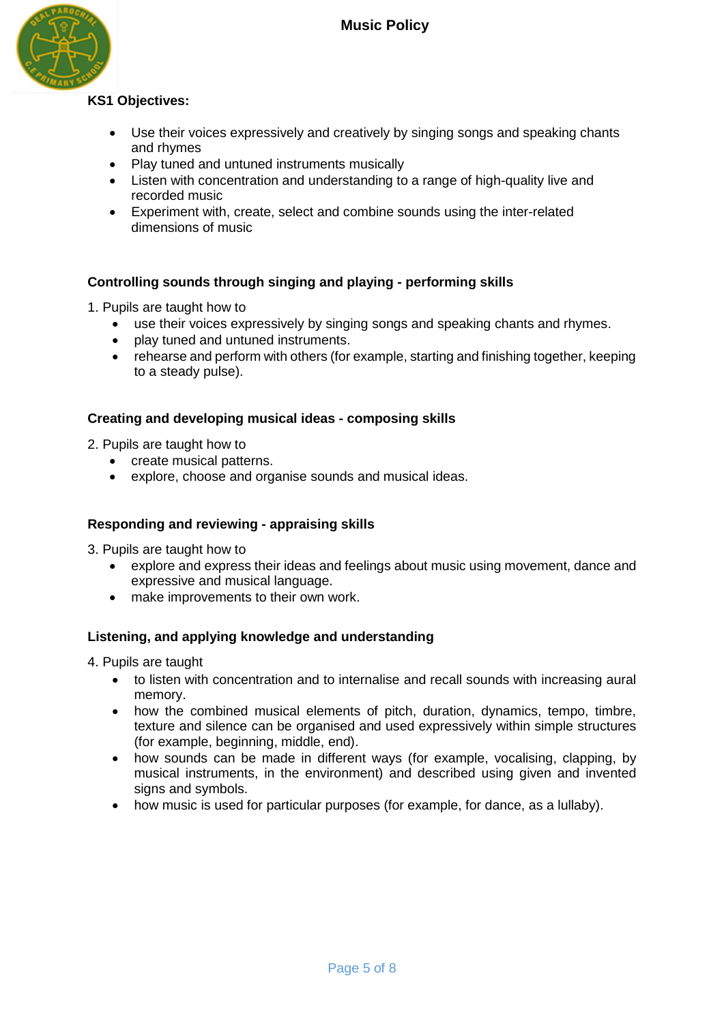

# **KS1 Objectives:**

- Use their voices expressively and creatively by singing songs and speaking chants and rhymes
- Play tuned and untuned instruments musically
- Listen with concentration and understanding to a range of high-quality live and recorded music
- Experiment with, create, select and combine sounds using the inter-related dimensions of music

# **Controlling sounds through singing and playing - performing skills**

- 1. Pupils are taught how to
	- use their voices expressively by singing songs and speaking chants and rhymes.
	- play tuned and untuned instruments.
	- rehearse and perform with others (for example, starting and finishing together, keeping to a steady pulse).

# **Creating and developing musical ideas - composing skills**

2. Pupils are taught how to

- create musical patterns.
- explore, choose and organise sounds and musical ideas.

# **Responding and reviewing - appraising skills**

3. Pupils are taught how to

- explore and express their ideas and feelings about music using movement, dance and expressive and musical language.
- make improvements to their own work.

# **Listening, and applying knowledge and understanding**

4. Pupils are taught

- to listen with concentration and to internalise and recall sounds with increasing aural memory.
- how the combined musical elements of pitch, duration, dynamics, tempo, timbre, texture and silence can be organised and used expressively within simple structures (for example, beginning, middle, end).
- how sounds can be made in different ways (for example, vocalising, clapping, by musical instruments, in the environment) and described using given and invented signs and symbols.
- how music is used for particular purposes (for example, for dance, as a lullaby).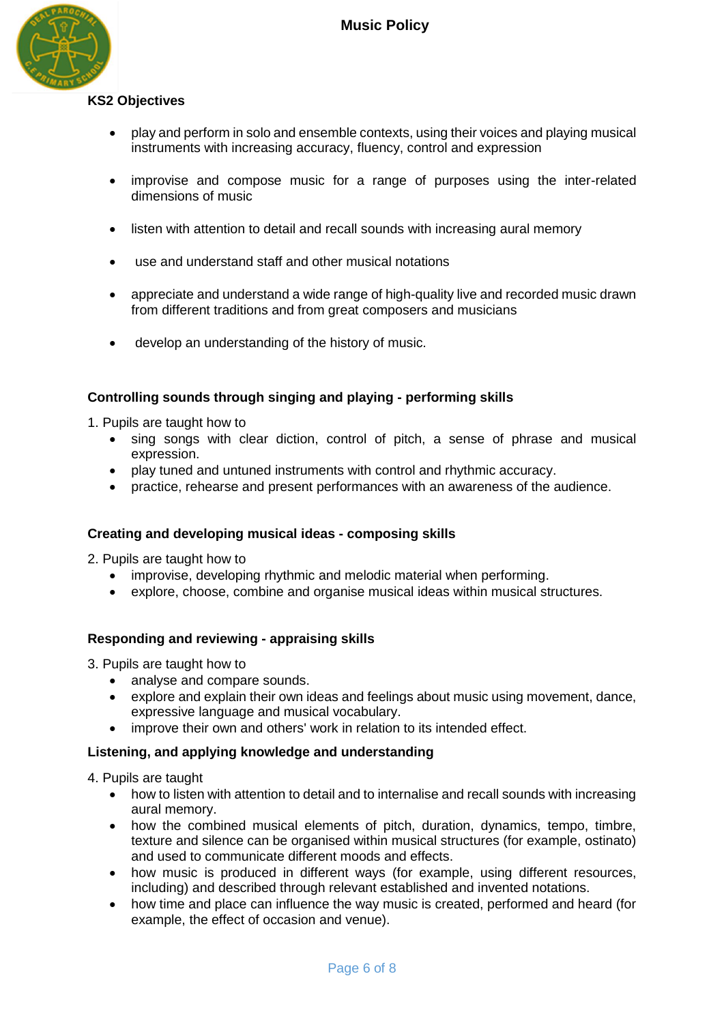

# **KS2 Objectives**

- play and perform in solo and ensemble contexts, using their voices and playing musical instruments with increasing accuracy, fluency, control and expression
- improvise and compose music for a range of purposes using the inter-related dimensions of music
- listen with attention to detail and recall sounds with increasing aural memory
- use and understand staff and other musical notations
- appreciate and understand a wide range of high-quality live and recorded music drawn from different traditions and from great composers and musicians
- develop an understanding of the history of music.

# **Controlling sounds through singing and playing - performing skills**

1. Pupils are taught how to

- sing songs with clear diction, control of pitch, a sense of phrase and musical expression.
- play tuned and untuned instruments with control and rhythmic accuracy.
- practice, rehearse and present performances with an awareness of the audience.

# **Creating and developing musical ideas - composing skills**

2. Pupils are taught how to

- improvise, developing rhythmic and melodic material when performing.
- explore, choose, combine and organise musical ideas within musical structures.

# **Responding and reviewing - appraising skills**

3. Pupils are taught how to

- analyse and compare sounds.
- explore and explain their own ideas and feelings about music using movement, dance, expressive language and musical vocabulary.
- improve their own and others' work in relation to its intended effect.

# **Listening, and applying knowledge and understanding**

4. Pupils are taught

- how to listen with attention to detail and to internalise and recall sounds with increasing aural memory.
- how the combined musical elements of pitch, duration, dynamics, tempo, timbre, texture and silence can be organised within musical structures (for example, ostinato) and used to communicate different moods and effects.
- how music is produced in different ways (for example, using different resources, including) and described through relevant established and invented notations.
- how time and place can influence the way music is created, performed and heard (for example, the effect of occasion and venue).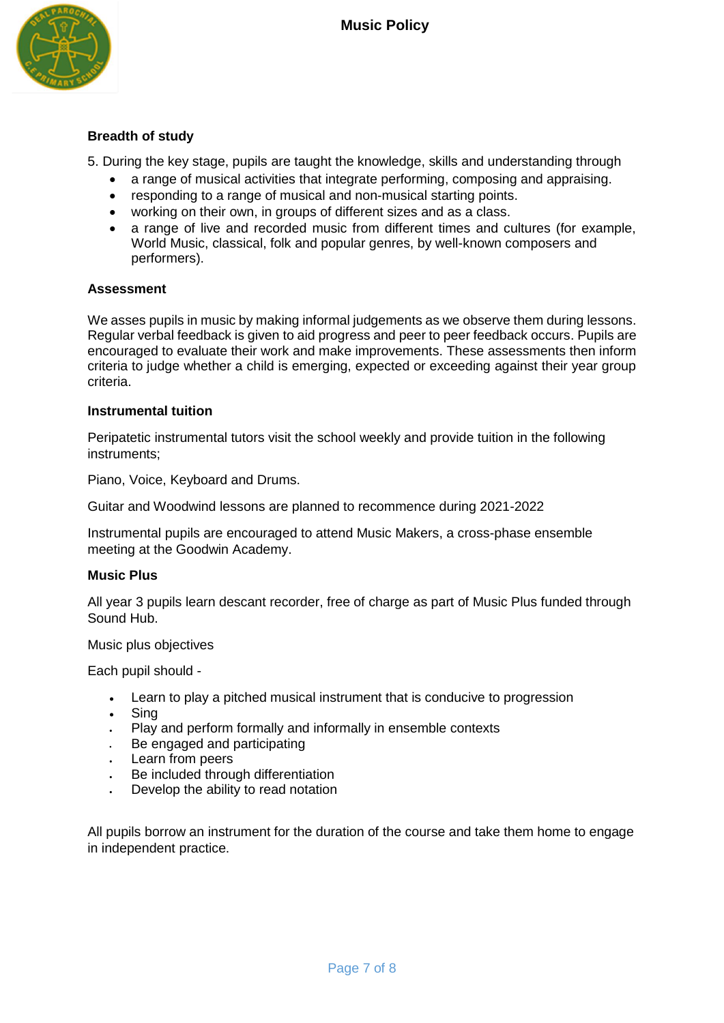

# **Breadth of study**

5. During the key stage, pupils are taught the knowledge, skills and understanding through

- a range of musical activities that integrate performing, composing and appraising.
- responding to a range of musical and non-musical starting points.
- working on their own, in groups of different sizes and as a class.
- a range of live and recorded music from different times and cultures (for example, World Music, classical, folk and popular genres, by well-known composers and performers).

# **Assessment**

We asses pupils in music by making informal judgements as we observe them during lessons. Regular verbal feedback is given to aid progress and peer to peer feedback occurs. Pupils are encouraged to evaluate their work and make improvements. These assessments then inform criteria to judge whether a child is emerging, expected or exceeding against their year group criteria.

#### **Instrumental tuition**

Peripatetic instrumental tutors visit the school weekly and provide tuition in the following instruments;

Piano, Voice, Keyboard and Drums.

Guitar and Woodwind lessons are planned to recommence during 2021-2022

Instrumental pupils are encouraged to attend Music Makers, a cross-phase ensemble meeting at the Goodwin Academy.

#### **Music Plus**

All year 3 pupils learn descant recorder, free of charge as part of Music Plus funded through Sound Hub.

#### Music plus objectives

Each pupil should -

- Learn to play a pitched musical instrument that is conducive to progression
- Sing
- Play and perform formally and informally in ensemble contexts
- Be engaged and participating
- Learn from peers
- Be included through differentiation
- Develop the ability to read notation

All pupils borrow an instrument for the duration of the course and take them home to engage in independent practice.